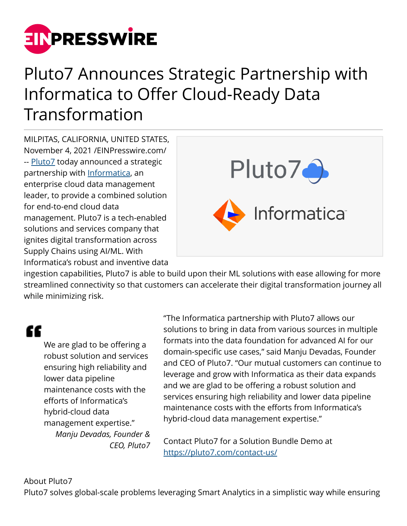

## Pluto7 Announces Strategic Partnership with Informatica to Offer Cloud-Ready Data Transformation

MILPITAS, CALIFORNIA, UNITED STATES, November 4, 2021 /[EINPresswire.com/](http://www.einpresswire.com) -- [Pluto7](https://pluto7.com/) today announced a strategic partnership with [Informatica](https://www.informatica.com/), an enterprise cloud data management leader, to provide a combined solution for end-to-end cloud data management. Pluto7 is a tech-enabled solutions and services company that ignites digital transformation across Supply Chains using AI/ML. With Informatica's robust and inventive data



ingestion capabilities, Pluto7 is able to build upon their ML solutions with ease allowing for more streamlined connectivity so that customers can accelerate their digital transformation journey all while minimizing risk.

## "

We are glad to be offering a robust solution and services ensuring high reliability and lower data pipeline maintenance costs with the efforts of Informatica's hybrid-cloud data management expertise." *Manju Devadas, Founder & CEO, Pluto7* "The Informatica partnership with Pluto7 allows our solutions to bring in data from various sources in multiple formats into the data foundation for advanced AI for our domain-specific use cases," said Manju Devadas, Founder and CEO of Pluto7. "Our mutual customers can continue to leverage and grow with Informatica as their data expands and we are glad to be offering a robust solution and services ensuring high reliability and lower data pipeline maintenance costs with the efforts from Informatica's hybrid-cloud data management expertise."

Contact Pluto7 for a Solution Bundle Demo at <https://pluto7.com/contact-us/>

## About Pluto7

Pluto7 solves global-scale problems leveraging Smart Analytics in a simplistic way while ensuring